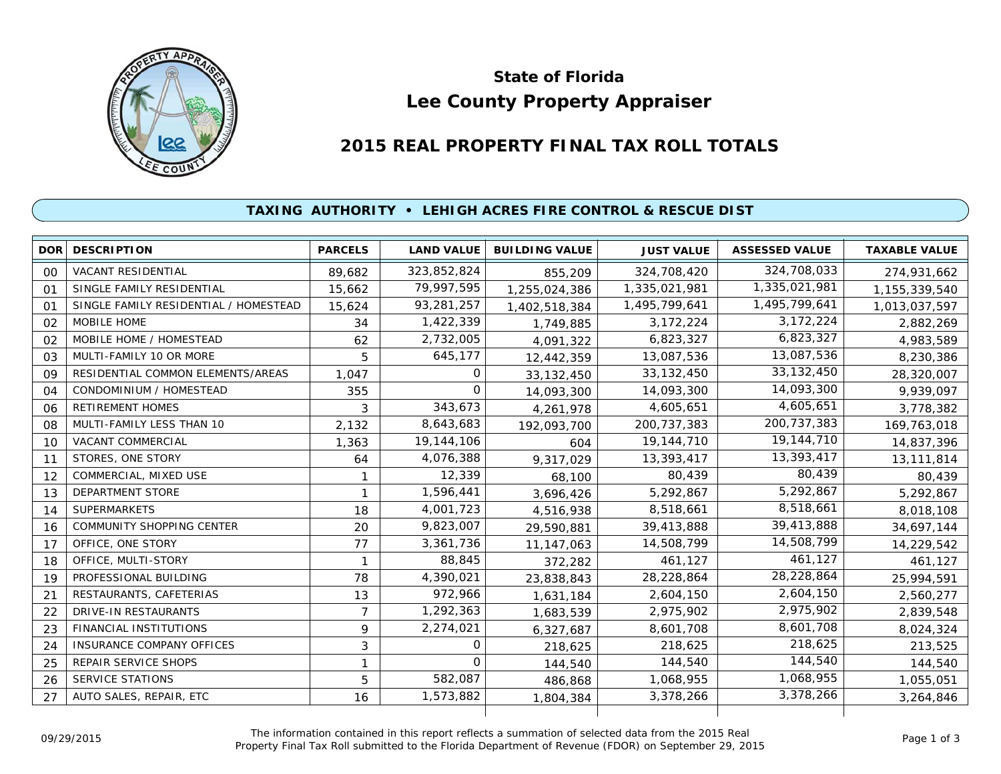

# **Lee County Property Appraiser State of Florida**

# **2015 REAL PROPERTY FINAL TAX ROLL TOTALS**

## **TAXING AUTHORITY • LEHIGH ACRES FIRE CONTROL & RESCUE DIST**

| DOR        | <b>DESCRIPTION</b>                    | <b>PARCELS</b> | <b>LAND VALUE</b> | <b>BUILDING VALUE</b> | <b>JUST VALUE</b> | <b>ASSESSED VALUE</b> | <b>TAXABLE VALUE</b> |
|------------|---------------------------------------|----------------|-------------------|-----------------------|-------------------|-----------------------|----------------------|
| 00         | VACANT RESIDENTIAL                    | 89,682         | 323,852,824       | 855,209               | 324,708,420       | 324,708,033           | 274,931,662          |
| 01         | SINGLE FAMILY RESIDENTIAL             | 15,662         | 79,997,595        | 1,255,024,386         | 1,335,021,981     | 1,335,021,981         | 1,155,339,540        |
| $^{\circ}$ | SINGLE FAMILY RESIDENTIAL / HOMESTEAD | 15,624         | 93,281,257        | 1,402,518,384         | 1,495,799,641     | 1,495,799,641         | 1,013,037,597        |
| 02         | MOBILE HOME                           | 34             | 1,422,339         | 1,749,885             | 3,172,224         | 3,172,224             | 2,882,269            |
| 02         | MOBILE HOME / HOMESTEAD               | 62             | 2,732,005         | 4,091,322             | 6,823,327         | 6,823,327             | 4,983,589            |
| 03         | MULTI-FAMILY 10 OR MORE               | 5              | 645,177           | 12,442,359            | 13,087,536        | 13,087,536            | 8,230,386            |
| 09         | RESIDENTIAL COMMON ELEMENTS/AREAS     | 1,047          | 0                 | 33, 132, 450          | 33, 132, 450      | 33, 132, 450          | 28,320,007           |
| 04         | CONDOMINIUM / HOMESTEAD               | 355            | $\Omega$          | 14,093,300            | 14,093,300        | 14,093,300            | 9,939,097            |
| 06         | <b>RETIREMENT HOMES</b>               | 3              | 343,673           | 4,261,978             | 4,605,651         | 4,605,651             | 3,778,382            |
| 08         | MULTI-FAMILY LESS THAN 10             | 2,132          | 8,643,683         | 192,093,700           | 200, 737, 383     | 200, 737, 383         | 169,763,018          |
| 10         | <b>VACANT COMMERCIAL</b>              | 1,363          | 19,144,106        | 604                   | 19,144,710        | 19,144,710            | 14,837,396           |
| 11         | STORES, ONE STORY                     | 64             | 4,076,388         | 9,317,029             | 13,393,417        | 13,393,417            | 13,111,814           |
| 12         | COMMERCIAL, MIXED USE                 |                | 12,339            | 68,100                | 80,439            | 80,439                | 80,439               |
| 13         | DEPARTMENT STORE                      | 1              | 1,596,441         | 3,696,426             | 5,292,867         | 5,292,867             | 5,292,867            |
| 14         | <b>SUPERMARKETS</b>                   | 18             | 4,001,723         | 4,516,938             | 8,518,661         | 8,518,661             | 8,018,108            |
| 16         | <b>COMMUNITY SHOPPING CENTER</b>      | 20             | 9,823,007         | 29,590,881            | 39,413,888        | 39,413,888            | 34,697,144           |
| 17         | OFFICE, ONE STORY                     | 77             | 3,361,736         | 11, 147, 063          | 14,508,799        | 14,508,799            | 14,229,542           |
| 18         | OFFICE, MULTI-STORY                   | $\mathbf{1}$   | 88,845            | 372,282               | 461,127           | 461,127               | 461,127              |
| 19         | PROFESSIONAL BUILDING                 | 78             | 4,390,021         | 23,838,843            | 28,228,864        | 28,228,864            | 25,994,591           |
| 21         | RESTAURANTS, CAFETERIAS               | 13             | 972,966           | 1,631,184             | 2,604,150         | 2,604,150             | 2,560,277            |
| 22         | <b>DRIVE-IN RESTAURANTS</b>           | $\overline{7}$ | 1,292,363         | 1,683,539             | 2,975,902         | 2,975,902             | 2,839,548            |
| 23         | FINANCIAL INSTITUTIONS                | 9              | 2,274,021         | 6,327,687             | 8,601,708         | 8,601,708             | 8,024,324            |
| 24         | INSURANCE COMPANY OFFICES             | 3              | 0                 | 218,625               | 218,625           | 218,625               | 213,525              |
| 25         | <b>REPAIR SERVICE SHOPS</b>           | 1              | $\Omega$          | 144,540               | 144,540           | 144,540               | 144,540              |
| 26         | <b>SERVICE STATIONS</b>               | 5              | 582,087           | 486,868               | 1,068,955         | 1,068,955             | 1,055,051            |
| 27         | AUTO SALES, REPAIR, ETC               | 16             | 1,573,882         | 1,804,384             | 3,378,266         | 3,378,266             | 3,264,846            |
|            |                                       |                |                   |                       |                   |                       |                      |

The information contained in this report reflects a summation of selected data from the 2015 Real Ine information contained in this report reflects a summation of selected data from the 2015 Real<br>Property Final Tax Roll submitted to the Florida Department of Revenue (FDOR) on September 29, 2015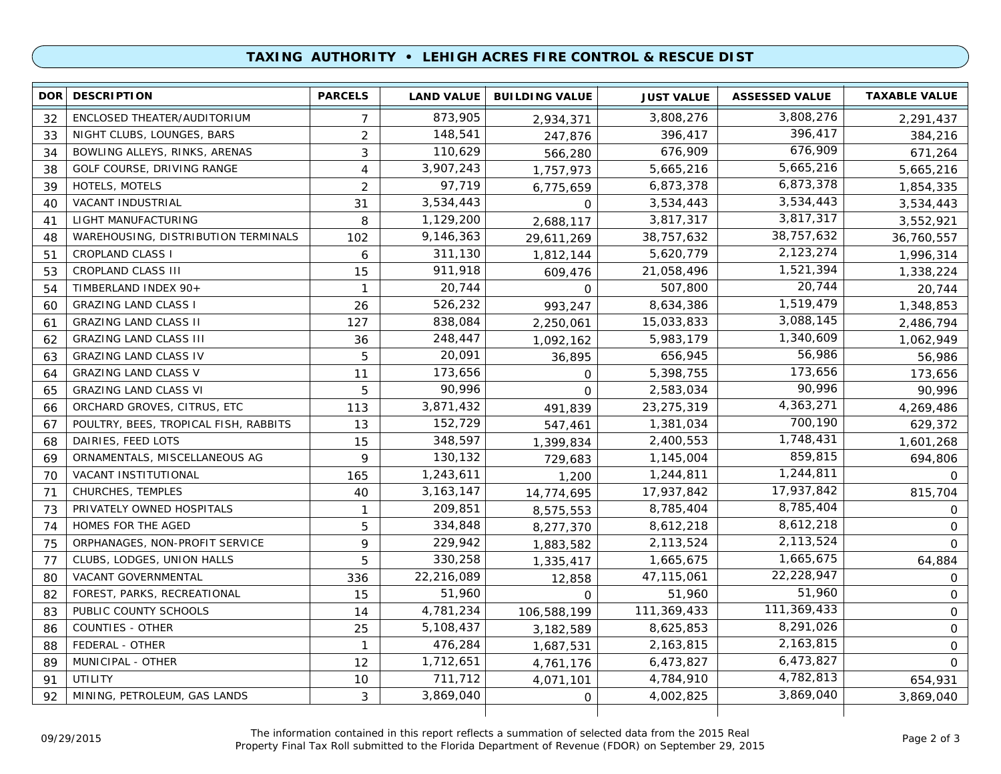### **TAXING AUTHORITY • LEHIGH ACRES FIRE CONTROL & RESCUE DIST**

| 3,808,276<br>873,905<br>ENCLOSED THEATER/AUDITORIUM<br>3,808,276<br>32<br>$\overline{7}$<br>2,291,437<br>2,934,371<br>396,417<br>$\overline{2}$<br>148,541<br>NIGHT CLUBS, LOUNGES, BARS<br>396,417<br>384,216<br>33<br>247,876<br>676,909<br>110,629<br>3<br>676,909<br>BOWLING ALLEYS, RINKS, ARENAS<br>671,264<br>34<br>566,280<br>5,665,216<br>3,907,243<br>GOLF COURSE, DRIVING RANGE<br>5,665,216<br>38<br>4<br>5,665,216<br>1,757,973<br>6,873,378<br>97,719<br>$\overline{2}$<br><b>HOTELS, MOTELS</b><br>6,873,378<br>39<br>1,854,335<br>6,775,659<br>3,534,443<br>3,534,443<br>VACANT INDUSTRIAL<br>3,534,443<br>40<br>31<br>3,534,443<br>$\mathbf 0$<br>3,817,317<br>1,129,200<br>LIGHT MANUFACTURING<br>3,817,317<br>8<br>3,552,921<br>41<br>2,688,117<br>38,757,632<br>WAREHOUSING, DISTRIBUTION TERMINALS<br>9,146,363<br>38,757,632<br>102<br>36,760,557<br>48<br>29,611,269<br>2,123,274<br>5,620,779<br><b>CROPLAND CLASS I</b><br>311,130<br>6<br>51<br>1,996,314<br>1,812,144<br>1,521,394<br>911,918<br>CROPLAND CLASS III<br>15<br>21,058,496<br>53<br>1,338,224<br>609,476<br>20,744<br>20,744<br>507,800<br>TIMBERLAND INDEX 90+<br>54<br>1<br>20,744<br>0<br>1,519,479<br>526,232<br><b>GRAZING LAND CLASS I</b><br>8,634,386<br>26<br>993,247<br>1,348,853<br>60<br>3,088,145<br>838,084<br><b>GRAZING LAND CLASS II</b><br>127<br>15,033,833<br>2,486,794<br>61<br>2,250,061<br>1,340,609<br>248,447<br><b>GRAZING LAND CLASS III</b><br>5,983,179<br>62<br>36<br>1,062,949<br>1,092,162<br>56,986<br>20,091<br><b>GRAZING LAND CLASS IV</b><br>5<br>656,945<br>56,986<br>63<br>36,895<br>173,656<br>173,656<br><b>GRAZING LAND CLASS V</b><br>5,398,755<br>11<br>173,656<br>64<br>$\mathbf 0$<br>90,996<br>90,996<br><b>GRAZING LAND CLASS VI</b><br>5<br>2,583,034<br>90,996<br>65<br>$\Omega$<br>4,363,271<br>3,871,432<br>ORCHARD GROVES, CITRUS, ETC<br>23, 275, 319<br>113<br>4,269,486<br>491,839<br>66<br>700,190<br>152,729<br>POULTRY, BEES, TROPICAL FISH, RABBITS<br>13<br>1,381,034<br>629,372<br>67<br>547,461<br>1,748,431<br>348,597<br>DAIRIES, FEED LOTS<br>2,400,553<br>68<br>15<br>1,601,268<br>1,399,834<br>859,815<br>130,132<br>ORNAMENTALS, MISCELLANEOUS AG<br>9<br>1,145,004<br>694,806<br>69<br>729,683<br>1,244,811<br>1,243,611<br>VACANT INSTITUTIONAL<br>1,244,811<br>70<br>165<br>1,200<br>$\Omega$<br>17,937,842<br><b>CHURCHES, TEMPLES</b><br>40<br>3, 163, 147<br>17,937,842<br>815,704<br>71<br>14,774,695<br>8,785,404<br>209,851<br>PRIVATELY OWNED HOSPITALS<br>8,785,404<br>73<br>$\mathbf{1}$<br>$\mathbf 0$<br>8,575,553<br>8,612,218<br>334,848<br>HOMES FOR THE AGED<br>5<br>8,612,218<br>74<br>8,277,370<br>$\Omega$<br>229,942<br>2,113,524<br>9<br>ORPHANAGES, NON-PROFIT SERVICE<br>2,113,524<br>75<br>1,883,582<br>$\Omega$<br>1,665,675<br>5<br>330,258<br>CLUBS, LODGES, UNION HALLS<br>1,665,675<br>64,884<br>77<br>1,335,417<br>22,228,947<br>22,216,089<br>VACANT GOVERNMENTAL<br>47,115,061<br>80<br>336<br>0<br>12,858<br>51,960<br>51,960<br>FOREST, PARKS, RECREATIONAL<br>51,960<br>82<br>15<br>$\mathbf 0$<br>$\Omega$<br>111,369,433<br>4,781,234<br>PUBLIC COUNTY SCHOOLS<br>111,369,433<br>83<br>14<br>$\mathbf 0$<br>106,588,199<br>8,291,026<br><b>COUNTIES - OTHER</b><br>5,108,437<br>8,625,853<br>25<br>$\mathbf 0$<br>86<br>3,182,589<br>2,163,815<br>FEDERAL - OTHER<br>476,284<br>2,163,815<br>$\mathbf{1}$<br>$\mathbf 0$<br>88<br>1,687,531<br>6,473,827<br>1,712,651<br>MUNICIPAL - OTHER<br>6,473,827<br>89<br>12<br>0<br>4,761,176<br>4,782,813<br>711,712<br>UTILITY<br>4,784,910<br>91<br>10<br>654,931<br>4,071,101<br>3,869,040<br>MINING, PETROLEUM, GAS LANDS<br>3,869,040<br>92<br>3<br>4,002,825<br>3,869,040<br>0 | <b>DOR</b> | <b>DESCRIPTION</b> | <b>PARCELS</b> | <b>LAND VALUE</b> | <b>BUILDING VALUE</b> | <b>JUST VALUE</b> | <b>ASSESSED VALUE</b> | <b>TAXABLE VALUE</b> |
|-----------------------------------------------------------------------------------------------------------------------------------------------------------------------------------------------------------------------------------------------------------------------------------------------------------------------------------------------------------------------------------------------------------------------------------------------------------------------------------------------------------------------------------------------------------------------------------------------------------------------------------------------------------------------------------------------------------------------------------------------------------------------------------------------------------------------------------------------------------------------------------------------------------------------------------------------------------------------------------------------------------------------------------------------------------------------------------------------------------------------------------------------------------------------------------------------------------------------------------------------------------------------------------------------------------------------------------------------------------------------------------------------------------------------------------------------------------------------------------------------------------------------------------------------------------------------------------------------------------------------------------------------------------------------------------------------------------------------------------------------------------------------------------------------------------------------------------------------------------------------------------------------------------------------------------------------------------------------------------------------------------------------------------------------------------------------------------------------------------------------------------------------------------------------------------------------------------------------------------------------------------------------------------------------------------------------------------------------------------------------------------------------------------------------------------------------------------------------------------------------------------------------------------------------------------------------------------------------------------------------------------------------------------------------------------------------------------------------------------------------------------------------------------------------------------------------------------------------------------------------------------------------------------------------------------------------------------------------------------------------------------------------------------------------------------------------------------------------------------------------------------------------------------------------------------------------------------------------------------------------------------------------------------------------------------------------------------------------------------------------------------------------------------------------------------------------------------------------------------------------------------------------------------------------------------------------------------------------------------------------------------------------------------------------------------------------------------------------------------|------------|--------------------|----------------|-------------------|-----------------------|-------------------|-----------------------|----------------------|
|                                                                                                                                                                                                                                                                                                                                                                                                                                                                                                                                                                                                                                                                                                                                                                                                                                                                                                                                                                                                                                                                                                                                                                                                                                                                                                                                                                                                                                                                                                                                                                                                                                                                                                                                                                                                                                                                                                                                                                                                                                                                                                                                                                                                                                                                                                                                                                                                                                                                                                                                                                                                                                                                                                                                                                                                                                                                                                                                                                                                                                                                                                                                                                                                                                                                                                                                                                                                                                                                                                                                                                                                                                                                                                                                   |            |                    |                |                   |                       |                   |                       |                      |
|                                                                                                                                                                                                                                                                                                                                                                                                                                                                                                                                                                                                                                                                                                                                                                                                                                                                                                                                                                                                                                                                                                                                                                                                                                                                                                                                                                                                                                                                                                                                                                                                                                                                                                                                                                                                                                                                                                                                                                                                                                                                                                                                                                                                                                                                                                                                                                                                                                                                                                                                                                                                                                                                                                                                                                                                                                                                                                                                                                                                                                                                                                                                                                                                                                                                                                                                                                                                                                                                                                                                                                                                                                                                                                                                   |            |                    |                |                   |                       |                   |                       |                      |
|                                                                                                                                                                                                                                                                                                                                                                                                                                                                                                                                                                                                                                                                                                                                                                                                                                                                                                                                                                                                                                                                                                                                                                                                                                                                                                                                                                                                                                                                                                                                                                                                                                                                                                                                                                                                                                                                                                                                                                                                                                                                                                                                                                                                                                                                                                                                                                                                                                                                                                                                                                                                                                                                                                                                                                                                                                                                                                                                                                                                                                                                                                                                                                                                                                                                                                                                                                                                                                                                                                                                                                                                                                                                                                                                   |            |                    |                |                   |                       |                   |                       |                      |
|                                                                                                                                                                                                                                                                                                                                                                                                                                                                                                                                                                                                                                                                                                                                                                                                                                                                                                                                                                                                                                                                                                                                                                                                                                                                                                                                                                                                                                                                                                                                                                                                                                                                                                                                                                                                                                                                                                                                                                                                                                                                                                                                                                                                                                                                                                                                                                                                                                                                                                                                                                                                                                                                                                                                                                                                                                                                                                                                                                                                                                                                                                                                                                                                                                                                                                                                                                                                                                                                                                                                                                                                                                                                                                                                   |            |                    |                |                   |                       |                   |                       |                      |
|                                                                                                                                                                                                                                                                                                                                                                                                                                                                                                                                                                                                                                                                                                                                                                                                                                                                                                                                                                                                                                                                                                                                                                                                                                                                                                                                                                                                                                                                                                                                                                                                                                                                                                                                                                                                                                                                                                                                                                                                                                                                                                                                                                                                                                                                                                                                                                                                                                                                                                                                                                                                                                                                                                                                                                                                                                                                                                                                                                                                                                                                                                                                                                                                                                                                                                                                                                                                                                                                                                                                                                                                                                                                                                                                   |            |                    |                |                   |                       |                   |                       |                      |
|                                                                                                                                                                                                                                                                                                                                                                                                                                                                                                                                                                                                                                                                                                                                                                                                                                                                                                                                                                                                                                                                                                                                                                                                                                                                                                                                                                                                                                                                                                                                                                                                                                                                                                                                                                                                                                                                                                                                                                                                                                                                                                                                                                                                                                                                                                                                                                                                                                                                                                                                                                                                                                                                                                                                                                                                                                                                                                                                                                                                                                                                                                                                                                                                                                                                                                                                                                                                                                                                                                                                                                                                                                                                                                                                   |            |                    |                |                   |                       |                   |                       |                      |
|                                                                                                                                                                                                                                                                                                                                                                                                                                                                                                                                                                                                                                                                                                                                                                                                                                                                                                                                                                                                                                                                                                                                                                                                                                                                                                                                                                                                                                                                                                                                                                                                                                                                                                                                                                                                                                                                                                                                                                                                                                                                                                                                                                                                                                                                                                                                                                                                                                                                                                                                                                                                                                                                                                                                                                                                                                                                                                                                                                                                                                                                                                                                                                                                                                                                                                                                                                                                                                                                                                                                                                                                                                                                                                                                   |            |                    |                |                   |                       |                   |                       |                      |
|                                                                                                                                                                                                                                                                                                                                                                                                                                                                                                                                                                                                                                                                                                                                                                                                                                                                                                                                                                                                                                                                                                                                                                                                                                                                                                                                                                                                                                                                                                                                                                                                                                                                                                                                                                                                                                                                                                                                                                                                                                                                                                                                                                                                                                                                                                                                                                                                                                                                                                                                                                                                                                                                                                                                                                                                                                                                                                                                                                                                                                                                                                                                                                                                                                                                                                                                                                                                                                                                                                                                                                                                                                                                                                                                   |            |                    |                |                   |                       |                   |                       |                      |
|                                                                                                                                                                                                                                                                                                                                                                                                                                                                                                                                                                                                                                                                                                                                                                                                                                                                                                                                                                                                                                                                                                                                                                                                                                                                                                                                                                                                                                                                                                                                                                                                                                                                                                                                                                                                                                                                                                                                                                                                                                                                                                                                                                                                                                                                                                                                                                                                                                                                                                                                                                                                                                                                                                                                                                                                                                                                                                                                                                                                                                                                                                                                                                                                                                                                                                                                                                                                                                                                                                                                                                                                                                                                                                                                   |            |                    |                |                   |                       |                   |                       |                      |
|                                                                                                                                                                                                                                                                                                                                                                                                                                                                                                                                                                                                                                                                                                                                                                                                                                                                                                                                                                                                                                                                                                                                                                                                                                                                                                                                                                                                                                                                                                                                                                                                                                                                                                                                                                                                                                                                                                                                                                                                                                                                                                                                                                                                                                                                                                                                                                                                                                                                                                                                                                                                                                                                                                                                                                                                                                                                                                                                                                                                                                                                                                                                                                                                                                                                                                                                                                                                                                                                                                                                                                                                                                                                                                                                   |            |                    |                |                   |                       |                   |                       |                      |
|                                                                                                                                                                                                                                                                                                                                                                                                                                                                                                                                                                                                                                                                                                                                                                                                                                                                                                                                                                                                                                                                                                                                                                                                                                                                                                                                                                                                                                                                                                                                                                                                                                                                                                                                                                                                                                                                                                                                                                                                                                                                                                                                                                                                                                                                                                                                                                                                                                                                                                                                                                                                                                                                                                                                                                                                                                                                                                                                                                                                                                                                                                                                                                                                                                                                                                                                                                                                                                                                                                                                                                                                                                                                                                                                   |            |                    |                |                   |                       |                   |                       |                      |
|                                                                                                                                                                                                                                                                                                                                                                                                                                                                                                                                                                                                                                                                                                                                                                                                                                                                                                                                                                                                                                                                                                                                                                                                                                                                                                                                                                                                                                                                                                                                                                                                                                                                                                                                                                                                                                                                                                                                                                                                                                                                                                                                                                                                                                                                                                                                                                                                                                                                                                                                                                                                                                                                                                                                                                                                                                                                                                                                                                                                                                                                                                                                                                                                                                                                                                                                                                                                                                                                                                                                                                                                                                                                                                                                   |            |                    |                |                   |                       |                   |                       |                      |
|                                                                                                                                                                                                                                                                                                                                                                                                                                                                                                                                                                                                                                                                                                                                                                                                                                                                                                                                                                                                                                                                                                                                                                                                                                                                                                                                                                                                                                                                                                                                                                                                                                                                                                                                                                                                                                                                                                                                                                                                                                                                                                                                                                                                                                                                                                                                                                                                                                                                                                                                                                                                                                                                                                                                                                                                                                                                                                                                                                                                                                                                                                                                                                                                                                                                                                                                                                                                                                                                                                                                                                                                                                                                                                                                   |            |                    |                |                   |                       |                   |                       |                      |
|                                                                                                                                                                                                                                                                                                                                                                                                                                                                                                                                                                                                                                                                                                                                                                                                                                                                                                                                                                                                                                                                                                                                                                                                                                                                                                                                                                                                                                                                                                                                                                                                                                                                                                                                                                                                                                                                                                                                                                                                                                                                                                                                                                                                                                                                                                                                                                                                                                                                                                                                                                                                                                                                                                                                                                                                                                                                                                                                                                                                                                                                                                                                                                                                                                                                                                                                                                                                                                                                                                                                                                                                                                                                                                                                   |            |                    |                |                   |                       |                   |                       |                      |
|                                                                                                                                                                                                                                                                                                                                                                                                                                                                                                                                                                                                                                                                                                                                                                                                                                                                                                                                                                                                                                                                                                                                                                                                                                                                                                                                                                                                                                                                                                                                                                                                                                                                                                                                                                                                                                                                                                                                                                                                                                                                                                                                                                                                                                                                                                                                                                                                                                                                                                                                                                                                                                                                                                                                                                                                                                                                                                                                                                                                                                                                                                                                                                                                                                                                                                                                                                                                                                                                                                                                                                                                                                                                                                                                   |            |                    |                |                   |                       |                   |                       |                      |
|                                                                                                                                                                                                                                                                                                                                                                                                                                                                                                                                                                                                                                                                                                                                                                                                                                                                                                                                                                                                                                                                                                                                                                                                                                                                                                                                                                                                                                                                                                                                                                                                                                                                                                                                                                                                                                                                                                                                                                                                                                                                                                                                                                                                                                                                                                                                                                                                                                                                                                                                                                                                                                                                                                                                                                                                                                                                                                                                                                                                                                                                                                                                                                                                                                                                                                                                                                                                                                                                                                                                                                                                                                                                                                                                   |            |                    |                |                   |                       |                   |                       |                      |
|                                                                                                                                                                                                                                                                                                                                                                                                                                                                                                                                                                                                                                                                                                                                                                                                                                                                                                                                                                                                                                                                                                                                                                                                                                                                                                                                                                                                                                                                                                                                                                                                                                                                                                                                                                                                                                                                                                                                                                                                                                                                                                                                                                                                                                                                                                                                                                                                                                                                                                                                                                                                                                                                                                                                                                                                                                                                                                                                                                                                                                                                                                                                                                                                                                                                                                                                                                                                                                                                                                                                                                                                                                                                                                                                   |            |                    |                |                   |                       |                   |                       |                      |
|                                                                                                                                                                                                                                                                                                                                                                                                                                                                                                                                                                                                                                                                                                                                                                                                                                                                                                                                                                                                                                                                                                                                                                                                                                                                                                                                                                                                                                                                                                                                                                                                                                                                                                                                                                                                                                                                                                                                                                                                                                                                                                                                                                                                                                                                                                                                                                                                                                                                                                                                                                                                                                                                                                                                                                                                                                                                                                                                                                                                                                                                                                                                                                                                                                                                                                                                                                                                                                                                                                                                                                                                                                                                                                                                   |            |                    |                |                   |                       |                   |                       |                      |
|                                                                                                                                                                                                                                                                                                                                                                                                                                                                                                                                                                                                                                                                                                                                                                                                                                                                                                                                                                                                                                                                                                                                                                                                                                                                                                                                                                                                                                                                                                                                                                                                                                                                                                                                                                                                                                                                                                                                                                                                                                                                                                                                                                                                                                                                                                                                                                                                                                                                                                                                                                                                                                                                                                                                                                                                                                                                                                                                                                                                                                                                                                                                                                                                                                                                                                                                                                                                                                                                                                                                                                                                                                                                                                                                   |            |                    |                |                   |                       |                   |                       |                      |
|                                                                                                                                                                                                                                                                                                                                                                                                                                                                                                                                                                                                                                                                                                                                                                                                                                                                                                                                                                                                                                                                                                                                                                                                                                                                                                                                                                                                                                                                                                                                                                                                                                                                                                                                                                                                                                                                                                                                                                                                                                                                                                                                                                                                                                                                                                                                                                                                                                                                                                                                                                                                                                                                                                                                                                                                                                                                                                                                                                                                                                                                                                                                                                                                                                                                                                                                                                                                                                                                                                                                                                                                                                                                                                                                   |            |                    |                |                   |                       |                   |                       |                      |
|                                                                                                                                                                                                                                                                                                                                                                                                                                                                                                                                                                                                                                                                                                                                                                                                                                                                                                                                                                                                                                                                                                                                                                                                                                                                                                                                                                                                                                                                                                                                                                                                                                                                                                                                                                                                                                                                                                                                                                                                                                                                                                                                                                                                                                                                                                                                                                                                                                                                                                                                                                                                                                                                                                                                                                                                                                                                                                                                                                                                                                                                                                                                                                                                                                                                                                                                                                                                                                                                                                                                                                                                                                                                                                                                   |            |                    |                |                   |                       |                   |                       |                      |
|                                                                                                                                                                                                                                                                                                                                                                                                                                                                                                                                                                                                                                                                                                                                                                                                                                                                                                                                                                                                                                                                                                                                                                                                                                                                                                                                                                                                                                                                                                                                                                                                                                                                                                                                                                                                                                                                                                                                                                                                                                                                                                                                                                                                                                                                                                                                                                                                                                                                                                                                                                                                                                                                                                                                                                                                                                                                                                                                                                                                                                                                                                                                                                                                                                                                                                                                                                                                                                                                                                                                                                                                                                                                                                                                   |            |                    |                |                   |                       |                   |                       |                      |
|                                                                                                                                                                                                                                                                                                                                                                                                                                                                                                                                                                                                                                                                                                                                                                                                                                                                                                                                                                                                                                                                                                                                                                                                                                                                                                                                                                                                                                                                                                                                                                                                                                                                                                                                                                                                                                                                                                                                                                                                                                                                                                                                                                                                                                                                                                                                                                                                                                                                                                                                                                                                                                                                                                                                                                                                                                                                                                                                                                                                                                                                                                                                                                                                                                                                                                                                                                                                                                                                                                                                                                                                                                                                                                                                   |            |                    |                |                   |                       |                   |                       |                      |
|                                                                                                                                                                                                                                                                                                                                                                                                                                                                                                                                                                                                                                                                                                                                                                                                                                                                                                                                                                                                                                                                                                                                                                                                                                                                                                                                                                                                                                                                                                                                                                                                                                                                                                                                                                                                                                                                                                                                                                                                                                                                                                                                                                                                                                                                                                                                                                                                                                                                                                                                                                                                                                                                                                                                                                                                                                                                                                                                                                                                                                                                                                                                                                                                                                                                                                                                                                                                                                                                                                                                                                                                                                                                                                                                   |            |                    |                |                   |                       |                   |                       |                      |
|                                                                                                                                                                                                                                                                                                                                                                                                                                                                                                                                                                                                                                                                                                                                                                                                                                                                                                                                                                                                                                                                                                                                                                                                                                                                                                                                                                                                                                                                                                                                                                                                                                                                                                                                                                                                                                                                                                                                                                                                                                                                                                                                                                                                                                                                                                                                                                                                                                                                                                                                                                                                                                                                                                                                                                                                                                                                                                                                                                                                                                                                                                                                                                                                                                                                                                                                                                                                                                                                                                                                                                                                                                                                                                                                   |            |                    |                |                   |                       |                   |                       |                      |
|                                                                                                                                                                                                                                                                                                                                                                                                                                                                                                                                                                                                                                                                                                                                                                                                                                                                                                                                                                                                                                                                                                                                                                                                                                                                                                                                                                                                                                                                                                                                                                                                                                                                                                                                                                                                                                                                                                                                                                                                                                                                                                                                                                                                                                                                                                                                                                                                                                                                                                                                                                                                                                                                                                                                                                                                                                                                                                                                                                                                                                                                                                                                                                                                                                                                                                                                                                                                                                                                                                                                                                                                                                                                                                                                   |            |                    |                |                   |                       |                   |                       |                      |
|                                                                                                                                                                                                                                                                                                                                                                                                                                                                                                                                                                                                                                                                                                                                                                                                                                                                                                                                                                                                                                                                                                                                                                                                                                                                                                                                                                                                                                                                                                                                                                                                                                                                                                                                                                                                                                                                                                                                                                                                                                                                                                                                                                                                                                                                                                                                                                                                                                                                                                                                                                                                                                                                                                                                                                                                                                                                                                                                                                                                                                                                                                                                                                                                                                                                                                                                                                                                                                                                                                                                                                                                                                                                                                                                   |            |                    |                |                   |                       |                   |                       |                      |
|                                                                                                                                                                                                                                                                                                                                                                                                                                                                                                                                                                                                                                                                                                                                                                                                                                                                                                                                                                                                                                                                                                                                                                                                                                                                                                                                                                                                                                                                                                                                                                                                                                                                                                                                                                                                                                                                                                                                                                                                                                                                                                                                                                                                                                                                                                                                                                                                                                                                                                                                                                                                                                                                                                                                                                                                                                                                                                                                                                                                                                                                                                                                                                                                                                                                                                                                                                                                                                                                                                                                                                                                                                                                                                                                   |            |                    |                |                   |                       |                   |                       |                      |
|                                                                                                                                                                                                                                                                                                                                                                                                                                                                                                                                                                                                                                                                                                                                                                                                                                                                                                                                                                                                                                                                                                                                                                                                                                                                                                                                                                                                                                                                                                                                                                                                                                                                                                                                                                                                                                                                                                                                                                                                                                                                                                                                                                                                                                                                                                                                                                                                                                                                                                                                                                                                                                                                                                                                                                                                                                                                                                                                                                                                                                                                                                                                                                                                                                                                                                                                                                                                                                                                                                                                                                                                                                                                                                                                   |            |                    |                |                   |                       |                   |                       |                      |
|                                                                                                                                                                                                                                                                                                                                                                                                                                                                                                                                                                                                                                                                                                                                                                                                                                                                                                                                                                                                                                                                                                                                                                                                                                                                                                                                                                                                                                                                                                                                                                                                                                                                                                                                                                                                                                                                                                                                                                                                                                                                                                                                                                                                                                                                                                                                                                                                                                                                                                                                                                                                                                                                                                                                                                                                                                                                                                                                                                                                                                                                                                                                                                                                                                                                                                                                                                                                                                                                                                                                                                                                                                                                                                                                   |            |                    |                |                   |                       |                   |                       |                      |
|                                                                                                                                                                                                                                                                                                                                                                                                                                                                                                                                                                                                                                                                                                                                                                                                                                                                                                                                                                                                                                                                                                                                                                                                                                                                                                                                                                                                                                                                                                                                                                                                                                                                                                                                                                                                                                                                                                                                                                                                                                                                                                                                                                                                                                                                                                                                                                                                                                                                                                                                                                                                                                                                                                                                                                                                                                                                                                                                                                                                                                                                                                                                                                                                                                                                                                                                                                                                                                                                                                                                                                                                                                                                                                                                   |            |                    |                |                   |                       |                   |                       |                      |
|                                                                                                                                                                                                                                                                                                                                                                                                                                                                                                                                                                                                                                                                                                                                                                                                                                                                                                                                                                                                                                                                                                                                                                                                                                                                                                                                                                                                                                                                                                                                                                                                                                                                                                                                                                                                                                                                                                                                                                                                                                                                                                                                                                                                                                                                                                                                                                                                                                                                                                                                                                                                                                                                                                                                                                                                                                                                                                                                                                                                                                                                                                                                                                                                                                                                                                                                                                                                                                                                                                                                                                                                                                                                                                                                   |            |                    |                |                   |                       |                   |                       |                      |
|                                                                                                                                                                                                                                                                                                                                                                                                                                                                                                                                                                                                                                                                                                                                                                                                                                                                                                                                                                                                                                                                                                                                                                                                                                                                                                                                                                                                                                                                                                                                                                                                                                                                                                                                                                                                                                                                                                                                                                                                                                                                                                                                                                                                                                                                                                                                                                                                                                                                                                                                                                                                                                                                                                                                                                                                                                                                                                                                                                                                                                                                                                                                                                                                                                                                                                                                                                                                                                                                                                                                                                                                                                                                                                                                   |            |                    |                |                   |                       |                   |                       |                      |
|                                                                                                                                                                                                                                                                                                                                                                                                                                                                                                                                                                                                                                                                                                                                                                                                                                                                                                                                                                                                                                                                                                                                                                                                                                                                                                                                                                                                                                                                                                                                                                                                                                                                                                                                                                                                                                                                                                                                                                                                                                                                                                                                                                                                                                                                                                                                                                                                                                                                                                                                                                                                                                                                                                                                                                                                                                                                                                                                                                                                                                                                                                                                                                                                                                                                                                                                                                                                                                                                                                                                                                                                                                                                                                                                   |            |                    |                |                   |                       |                   |                       |                      |
|                                                                                                                                                                                                                                                                                                                                                                                                                                                                                                                                                                                                                                                                                                                                                                                                                                                                                                                                                                                                                                                                                                                                                                                                                                                                                                                                                                                                                                                                                                                                                                                                                                                                                                                                                                                                                                                                                                                                                                                                                                                                                                                                                                                                                                                                                                                                                                                                                                                                                                                                                                                                                                                                                                                                                                                                                                                                                                                                                                                                                                                                                                                                                                                                                                                                                                                                                                                                                                                                                                                                                                                                                                                                                                                                   |            |                    |                |                   |                       |                   |                       |                      |

The information contained in this report reflects a summation of selected data from the 2015 Real Property Final Tax Roll submitted to the Florida Department of Revenue (FDOR) on September 29, 2015 09/29/2015 Page 2 of 3